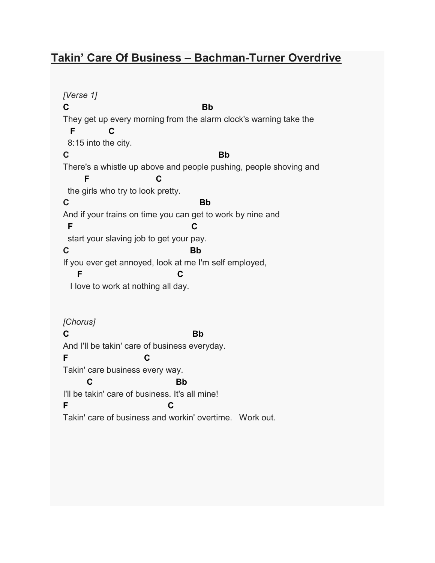## Takin' Care Of Business – Bachman-Turner Overdrive

[Verse 1] C<sub>Bb</sub> They get up every morning from the alarm clock's warning take the F C 8:15 into the city. C<sub>2</sub> Bb There's a whistle up above and people pushing, people shoving and **F** C the girls who try to look pretty. C<sub>2</sub> Bb And if your trains on time you can get to work by nine and F C C start your slaving job to get your pay. C<sub>2</sub> Bb If you ever get annoyed, look at me I'm self employed, F C I love to work at nothing all day. [Chorus] C<sub>2</sub> Bb And I'll be takin' care of business everyday. F C Takin' care business every way. **C** Bb I'll be takin' care of business. It's all mine! F C Takin' care of business and workin' overtime. Work out.